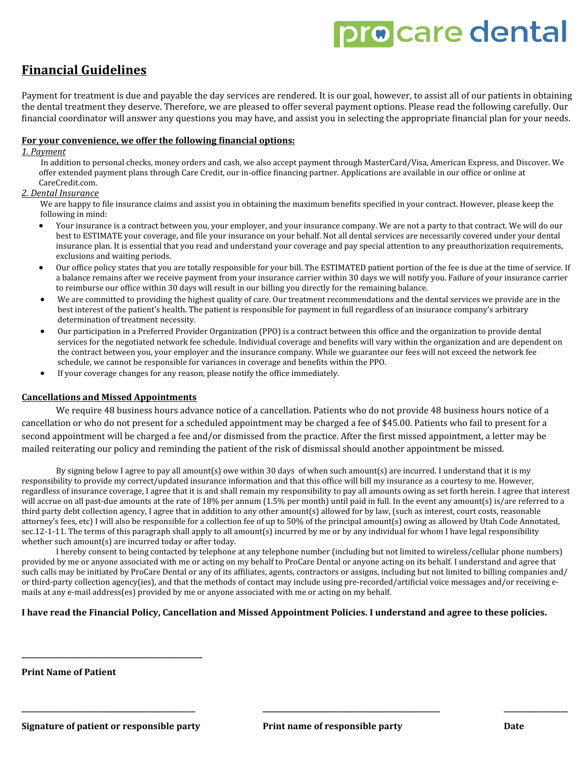# pro care dental

### **Financial Guidelines**

Payment for treatment is due and payable the day services are rendered. It is our goal, however, to assist all of our patients in obtaining the dental treatment they deserve. Therefore, we are pleased to offer several payment options. Please read the following carefully. Our financial coordinator will answer any questions you may have, and assist you in selecting the appropriate financial plan for your needs.

#### **For your convenience, we offer the following financial options:**

#### *1. Payment*

 In addition to personal checks, money orders and cash, we also accept payment through MasterCard/Visa, American Express, and Discover. We offer extended payment plans through Care Credit, our in-office financing partner. Applications are available in our office or online at CareCredit.com.

#### *2. Dental Insurance*

We are happy to file insurance claims and assist you in obtaining the maximum benefits specified in your contract. However, please keep the following in mind:

- Your insurance is a contract between you, your employer, and your insurance company. We are not a party to that contract. We will do our best to ESTIMATE your coverage, and file your insurance on your behalf. Not all dental services are necessarily covered under your dental insurance plan. It is essential that you read and understand your coverage and pay special attention to any preauthorization requirements, exclusions and waiting periods.
- Our office policy states that you are totally responsible for your bill. The ESTIMATED patient portion of the fee is due at the time of service. If a balance remains after we receive payment from your insurance carrier within 30 days we will notify you. Failure of your insurance carrier to reimburse our office within 30 days will result in our billing you directly for the remaining balance.
- We are committed to providing the highest quality of care. Our treatment recommendations and the dental services we provide are in the best interest of the patient's health. The patient is responsible for payment in full regardless of an insurance company's arbitrary determination of treatment necessity.
- Our participation in a Preferred Provider Organization (PPO) is a contract between this office and the organization to provide dental services for the negotiated network fee schedule. Individual coverage and benefits will vary within the organization and are dependent on the contract between you, your employer and the insurance company. While we guarantee our fees will not exceed the network fee schedule, we cannot be responsible for variances in coverage and benefits within the PPO.
- If your coverage changes for any reason, please notify the office immediately.

#### **Cancellations and Missed Appointments**

We require 48 business hours advance notice of a cancellation. Patients who do not provide 48 business hours notice of a cancellation or who do not present for a scheduled appointment may be charged a fee of \$45.00. Patients who fail to present for a second appointment will be charged a fee and/or dismissed from the practice. After the first missed appointment, a letter may be mailed reiterating our policy and reminding the patient of the risk of dismissal should another appointment be missed.

By signing below I agree to pay all amount(s) owe within 30 days of when such amount(s) are incurred. I understand that it is my responsibility to provide my correct/updated insurance information and that this office will bill my insurance as a courtesy to me. However, regardless of insurance coverage, I agree that it is and shall remain my responsibility to pay all amounts owing as set forth herein. I agree that interest will accrue on all past-due amounts at the rate of 18% per annum (1.5% per month) until paid in full. In the event any amount(s) is/are referred to a third party debt collection agency, I agree that in addition to any other amount(s) allowed for by law, (such as interest, court costs, reasonable attorney's fees, etc) I will also be responsible for a collection fee of up to 50% of the principal amount(s) owing as allowed by Utah Code Annotated, sec.12-1-11. The terms of this paragraph shall apply to all amount(s) incurred by me or by any individual for whom I have legal responsibility whether such amount(s) are incurred today or after today.

I hereby consent to being contacted by telephone at any telephone number (including but not limited to wireless/cellular phone numbers) provided by me or anyone associated with me or acting on my behalf to ProCare Dental or anyone acting on its behalf. I understand and agree that such calls may be initiated by ProCare Dental or any of its affiliates, agents, contractors or assigns, including but not limited to billing companies and/ or third-party collection agency(ies), and that the methods of contact may include using pre-recorded/artificial voice messages and/or receiving emails at any e-mail address(es) provided by me or anyone associated with me or acting on my behalf.

**\_\_\_\_\_\_\_\_\_\_\_\_\_\_\_\_\_\_\_\_\_\_\_\_\_\_\_\_\_\_\_\_\_\_\_\_\_\_\_\_\_\_\_\_\_\_\_\_\_ \_\_\_\_\_\_\_\_\_\_\_\_\_\_\_\_\_\_\_\_\_\_\_\_\_\_\_\_\_\_\_\_\_\_\_\_\_\_\_\_\_\_\_\_\_\_\_\_\_\_ \_\_\_\_\_\_\_\_\_\_\_\_\_\_\_\_\_\_**

#### **I have read the Financial Policy, Cancellation and Missed Appointment Policies. I understand and agree to these policies.**

**Print Name of Patient**

**\_\_\_\_\_\_\_\_\_\_\_\_\_\_\_\_\_\_\_\_\_\_\_\_\_\_\_\_\_\_\_\_\_\_\_\_\_\_\_\_\_\_\_\_\_\_\_\_\_\_\_**